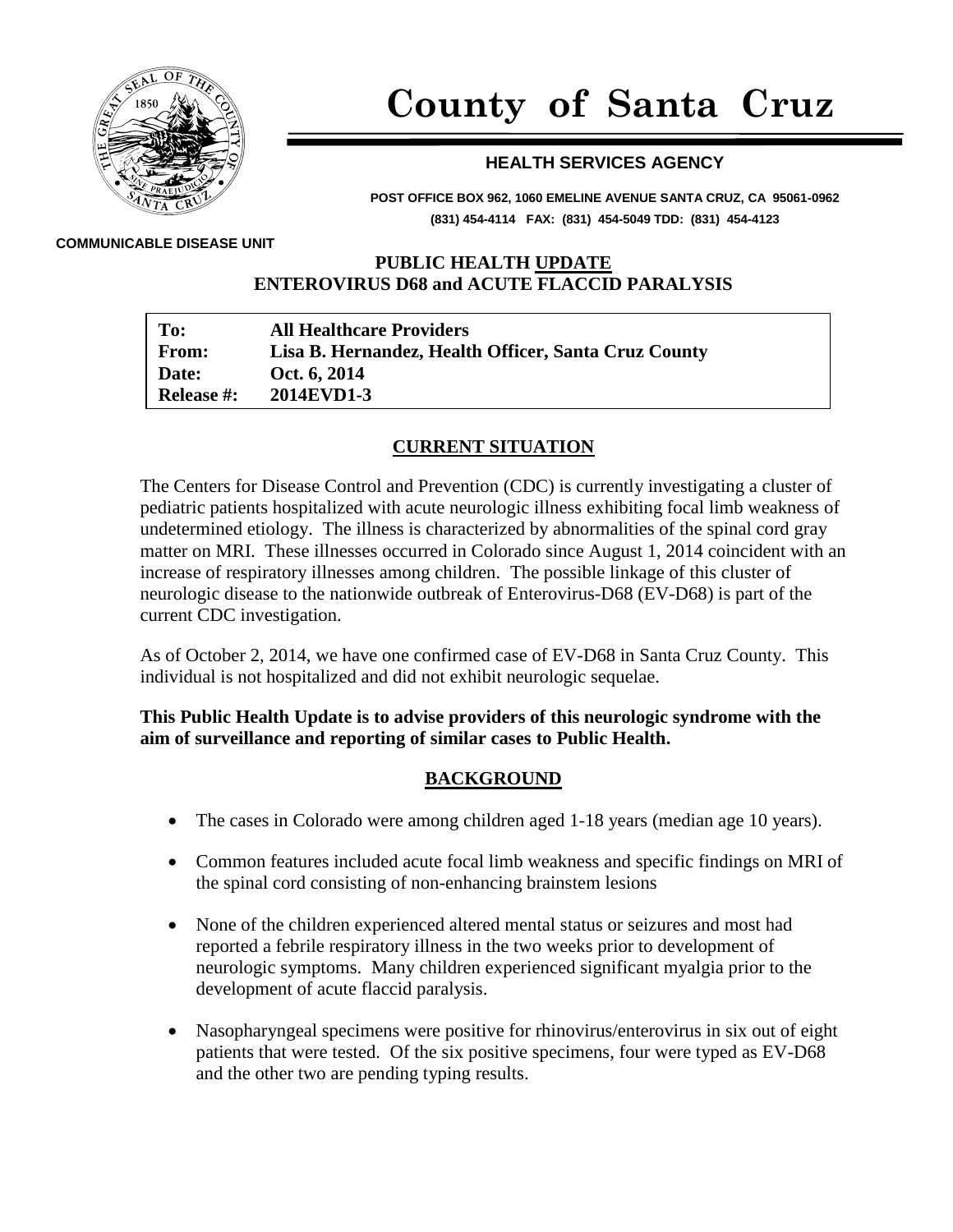

# **County of Santa Cruz**

### **HEALTH SERVICES AGENCY**

**POST OFFICE BOX 962, 1060 EMELINE AVENUE SANTA CRUZ, CA 95061-0962 (831) 454-4114 FAX: (831) 454-5049 TDD: (831) 454-4123**

**COMMUNICABLE DISEASE UNIT**

#### **PUBLIC HEALTH UPDATE ENTEROVIRUS D68 and ACUTE FLACCID PARALYSIS**

| To:               | <b>All Healthcare Providers</b>                      |
|-------------------|------------------------------------------------------|
| <b>From:</b>      | Lisa B. Hernandez, Health Officer, Santa Cruz County |
| Date:             | Oct. 6, 2014                                         |
| <b>Release #:</b> | 2014EVD1-3                                           |

#### **CURRENT SITUATION**

The Centers for Disease Control and Prevention (CDC) is currently investigating a cluster of pediatric patients hospitalized with acute neurologic illness exhibiting focal limb weakness of undetermined etiology. The illness is characterized by abnormalities of the spinal cord gray matter on MRI. These illnesses occurred in Colorado since August 1, 2014 coincident with an increase of respiratory illnesses among children. The possible linkage of this cluster of neurologic disease to the nationwide outbreak of Enterovirus-D68 (EV-D68) is part of the current CDC investigation.

As of October 2, 2014, we have one confirmed case of EV-D68 in Santa Cruz County. This individual is not hospitalized and did not exhibit neurologic sequelae.

#### **This Public Health Update is to advise providers of this neurologic syndrome with the aim of surveillance and reporting of similar cases to Public Health.**

#### **BACKGROUND**

- The cases in Colorado were among children aged 1-18 years (median age 10 years).
- Common features included acute focal limb weakness and specific findings on MRI of the spinal cord consisting of non-enhancing brainstem lesions
- None of the children experienced altered mental status or seizures and most had reported a febrile respiratory illness in the two weeks prior to development of neurologic symptoms. Many children experienced significant myalgia prior to the development of acute flaccid paralysis.
- Nasopharyngeal specimens were positive for rhinovirus/enterovirus in six out of eight patients that were tested. Of the six positive specimens, four were typed as EV-D68 and the other two are pending typing results.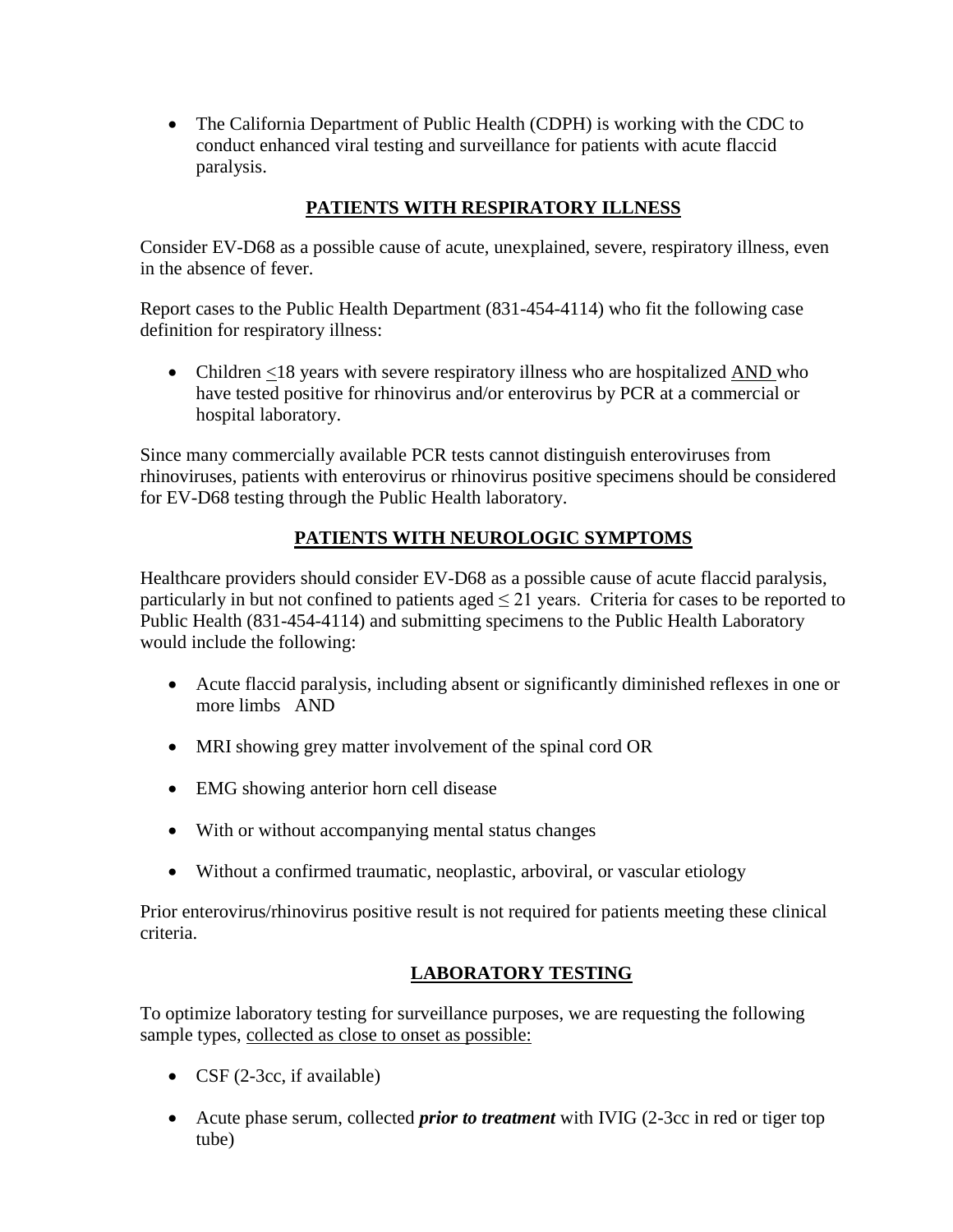• The California Department of Public Health (CDPH) is working with the CDC to conduct enhanced viral testing and surveillance for patients with acute flaccid paralysis.

# **PATIENTS WITH RESPIRATORY ILLNESS**

Consider EV-D68 as a possible cause of acute, unexplained, severe, respiratory illness, even in the absence of fever.

Report cases to the Public Health Department (831-454-4114) who fit the following case definition for respiratory illness:

• Children <18 years with severe respiratory illness who are hospitalized AND who have tested positive for rhinovirus and/or enterovirus by PCR at a commercial or hospital laboratory.

Since many commercially available PCR tests cannot distinguish enteroviruses from rhinoviruses, patients with enterovirus or rhinovirus positive specimens should be considered for EV-D68 testing through the Public Health laboratory.

# **PATIENTS WITH NEUROLOGIC SYMPTOMS**

Healthcare providers should consider EV-D68 as a possible cause of acute flaccid paralysis, particularly in but not confined to patients aged  $\leq$  21 years. Criteria for cases to be reported to Public Health (831-454-4114) and submitting specimens to the Public Health Laboratory would include the following:

- Acute flaccid paralysis, including absent or significantly diminished reflexes in one or more limbs AND
- MRI showing grey matter involvement of the spinal cord OR
- EMG showing anterior horn cell disease
- With or without accompanying mental status changes
- Without a confirmed traumatic, neoplastic, arboviral, or vascular etiology

Prior enterovirus/rhinovirus positive result is not required for patients meeting these clinical criteria.

## **LABORATORY TESTING**

To optimize laboratory testing for surveillance purposes, we are requesting the following sample types, collected as close to onset as possible:

- CSF (2-3cc, if available)
- Acute phase serum, collected *prior to treatment* with IVIG (2-3cc in red or tiger top tube)